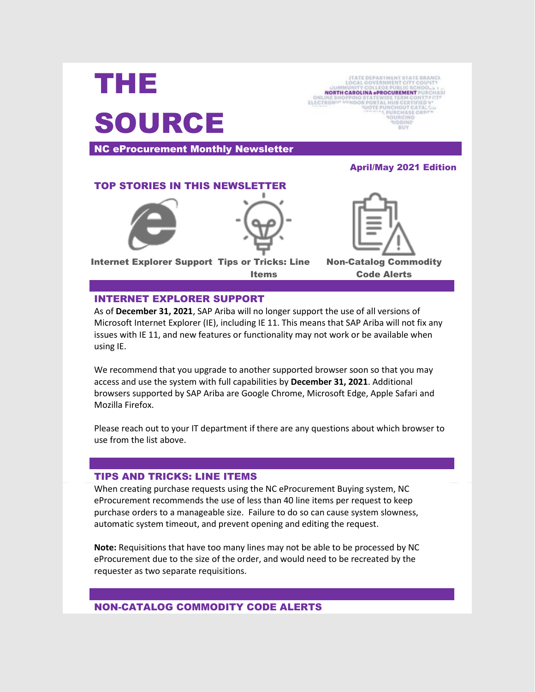

**STATE DEPARTMENT STATE BRANCH NORTH CAROLINA «PROCUREMENT** ELECTRONI

NC eProcurement Monthly Newsletter

# TOP STORIES IN THIS NEWSLETTER





Internet Explorer Support Tips or Tricks: Line

Items

April/May 2021 Edition



Non-Catalog Commodity Code Alerts

# INTERNET EXPLORER SUPPORT

As of **December 31, 2021**, SAP Ariba will no longer support the use of all versions of Microsoft Internet Explorer (IE), including IE 11. This means that SAP Ariba will not fix any issues with IE 11, and new features or functionality may not work or be available when using IE.

We recommend that you upgrade to another supported browser soon so that you may access and use the system with full capabilities by **December 31, 2021**. Additional browsers supported by SAP Ariba are Google Chrome, Microsoft Edge, Apple Safari and Mozilla Firefox.

Please reach out to your IT department if there are any questions about which browser to use from the list above.

### TIPS AND TRICKS: LINE ITEMS

When creating purchase requests using the NC eProcurement Buying system, NC eProcurement recommends the use of less than 40 line items per request to keep purchase orders to a manageable size. Failure to do so can cause system slowness, automatic system timeout, and prevent opening and editing the request.

**Note:** Requisitions that have too many lines may not be able to be processed by NC eProcurement due to the size of the order, and would need to be recreated by the requester as two separate requisitions.

# NON-CATALOG COMMODITY CODE ALERTS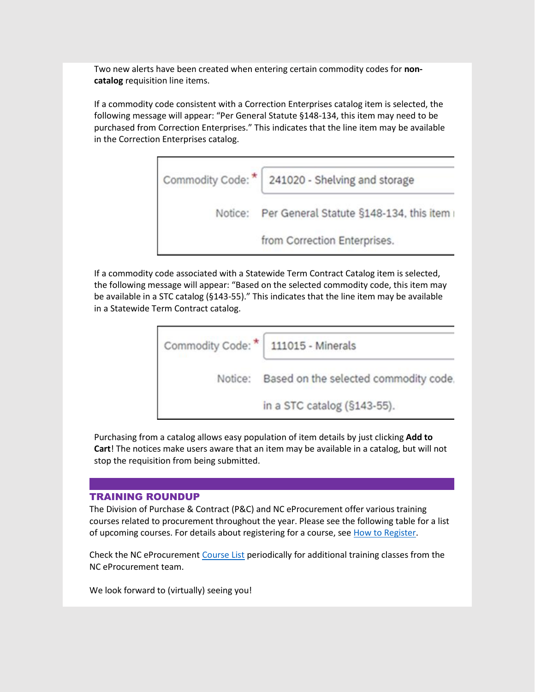Two new alerts have been created when entering certain commodity codes for **noncatalog** requisition line items.

If a commodity code consistent with a Correction Enterprises catalog item is selected, the following message will appear: "Per General Statute §148-134, this item may need to be purchased from Correction Enterprises." This indicates that the line item may be available in the Correction Enterprises catalog.

| Commodity Code: * | 241020 - Shelving and storage           |
|-------------------|-----------------------------------------|
| Notice:           | Per General Statute §148-134, this item |
|                   | from Correction Enterprises.            |

If a commodity code associated with a Statewide Term Contract Catalog item is selected, the following message will appear: "Based on the selected commodity code, this item may be available in a STC catalog (§143-55)." This indicates that the line item may be available in a Statewide Term Contract catalog.

| Commodity Code: *   111015 - Minerals |                                       |
|---------------------------------------|---------------------------------------|
| Notice:                               | Based on the selected commodity code. |
|                                       | in a STC catalog (§143-55).           |

Purchasing from a catalog allows easy population of item details by just clicking **Add to Cart**! The notices make users aware that an item may be available in a catalog, but will not stop the requisition from being submitted.

### TRAINING ROUNDUP

The Division of Purchase & Contract (P&C) and NC eProcurement offer various training courses related to procurement throughout the year. Please see the following table for a list of upcoming courses. For details about registering for a course, se[e How to Register.](https://urldefense.proofpoint.com/v2/url?u=https-3A__files.nc.gov_ncdoa_pandc_OnlineTrainingMaterials_How-2Dto-2DRegister.pdf&d=DwMF-g&c=eIGjsITfXP_y-DLLX0uEHXJvU8nOHrUK8IrwNKOtkVU&r=MXJolZ0fx0MQ88DX_BGVFUE7TCVkF0Q7fOV00Tar3jk&m=kHtd2MEErp9uIwKiKww9WYisURPYWpIlduyfVr-4JmQ&s=1LyJkrt6YmRiM_T_czOz-seaUnkvXc34lklst7dP3CI&e=)

Check the NC eProcurement [Course List](https://urldefense.proofpoint.com/v2/url?u=https-3A__eprocurement.nc.gov_events&d=DwMF-g&c=eIGjsITfXP_y-DLLX0uEHXJvU8nOHrUK8IrwNKOtkVU&r=MXJolZ0fx0MQ88DX_BGVFUE7TCVkF0Q7fOV00Tar3jk&m=kHtd2MEErp9uIwKiKww9WYisURPYWpIlduyfVr-4JmQ&s=J-FfcEUiHXNkQOA9yFlIrwTHKwR01Fqf4ZSSfVWuA44&e=) periodically for additional training classes from the NC eProcurement team.

We look forward to (virtually) seeing you!